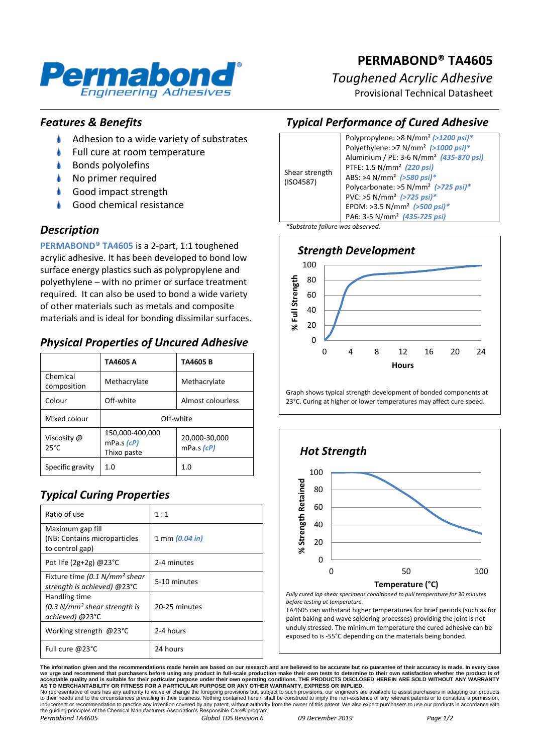

# **PERMABOND® TA4605**

## *Toughened Acrylic Adhesive*

Provisional Technical Datasheet

## *Features & Benefits*

- $\bullet$ Adhesion to a wide variety of substrates
- Full cure at room temperature
- Bonds polyolefins
- No primer required
- Good impact strength
- Good chemical resistance

## *Description*

**PERMABOND® TA4605** is a 2-part, 1:1 toughened acrylic adhesive. It has been developed to bond low surface energy plastics such as polypropylene and polyethylene – with no primer or surface treatment required. It can also be used to bond a wide variety of other materials such as metals and composite materials and is ideal for bonding dissimilar surfaces.

## *Physical Properties of Uncured Adhesive*

|                               | TA4605 A                                     | TA4605 B                      |
|-------------------------------|----------------------------------------------|-------------------------------|
| Chemical<br>composition       | Methacrylate                                 | Methacrylate                  |
| Colour                        | Off-white                                    | Almost colourless             |
| Mixed colour                  | Off-white                                    |                               |
| Viscosity @<br>$25^{\circ}$ C | 150,000-400,000<br>mPa.s (cP)<br>Thixo paste | 20,000-30,000<br>mPa.s $(cP)$ |
| Specific gravity              | 1. $\Omega$                                  | 1.0                           |

## *Typical Curing Properties*

| Ratio of use                                                                 | 1:1                      |  |
|------------------------------------------------------------------------------|--------------------------|--|
| Maximum gap fill<br>(NB: Contains microparticles<br>to control gap)          | 1 mm $(0.04 \text{ in})$ |  |
| Pot life $(2g+2g)$ @23°C                                                     | 2-4 minutes              |  |
| Fixture time (0.1 N/mm <sup>2</sup> shear<br>strength is achieved) @23°C     | 5-10 minutes             |  |
| Handling time<br>(0.3 N/mm <sup>2</sup> shear strength is<br>achieved) @23°C | 20-25 minutes            |  |
| Working strength @23°C                                                       | 2-4 hours                |  |
| Full cure @23°C                                                              | 24 hours                 |  |

## *Typical Performance of Cured Adhesive*



*Strength Development* 100 Full Strength 80 **% Full Strength** 60 40 20  $\mathbf{x}^{\mathsf{c}}$ 0 0 4 8 12 16 20 24 **Hours**

Graph shows typical strength development of bonded components at 23°C. Curing at higher or lower temperatures may affect cure speed.



*Fully cured lap shear specimens conditioned to pull temperature for 30 minutes before testing at temperature.*

TA4605 can withstand higher temperatures for brief periods (such as for paint baking and wave soldering processes) providing the joint is not unduly stressed. The minimum temperature the cured adhesive can be exposed to is -55°C depending on the materials being bonded.

The information given and the recommendations made herein are based on our research and are believed to be accurate but no guarantee of their accuracy is made. In every case<br>we urge and recommend that purchasers before usi

No representative of ours has any authority to waive or change the foregoing provisions but, subject to such provisions, our engineers are available to assist purchasers in adapting our products<br>to their needs and to the c *Permabond TA4605 Global TDS Revision 6 09 December 2019 Page 1/2*